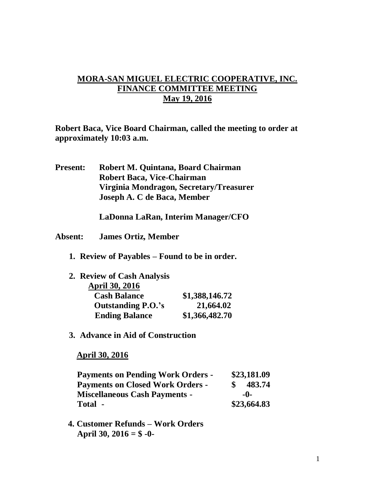## **MORA-SAN MIGUEL ELECTRIC COOPERATIVE, INC. FINANCE COMMITTEE MEETING May 19, 2016**

**Robert Baca, Vice Board Chairman, called the meeting to order at approximately 10:03 a.m.**

**Present: Robert M. Quintana, Board Chairman Robert Baca, Vice-Chairman Virginia Mondragon, Secretary/Treasurer Joseph A. C de Baca, Member**

**LaDonna LaRan, Interim Manager/CFO**

- **Absent: James Ortiz, Member**
	- **1. Review of Payables – Found to be in order.**

| 2. Review of Cash Analysis |                |
|----------------------------|----------------|
| <b>April 30, 2016</b>      |                |
| <b>Cash Balance</b>        | \$1,388,146.72 |
| <b>Outstanding P.O.'s</b>  | 21,664.02      |
| <b>Ending Balance</b>      | \$1,366,482.70 |

**3. Advance in Aid of Construction**

 **April 30, 2016**

| <b>Payments on Pending Work Orders -</b> |     | \$23,181.09 |  |
|------------------------------------------|-----|-------------|--|
| <b>Payments on Closed Work Orders -</b>  |     | 483.74      |  |
| <b>Miscellaneous Cash Payments -</b>     | -0- |             |  |
| Total -                                  |     | \$23,664.83 |  |

 **4. Customer Refunds – Work Orders April 30, 2016 = \$ -0-**